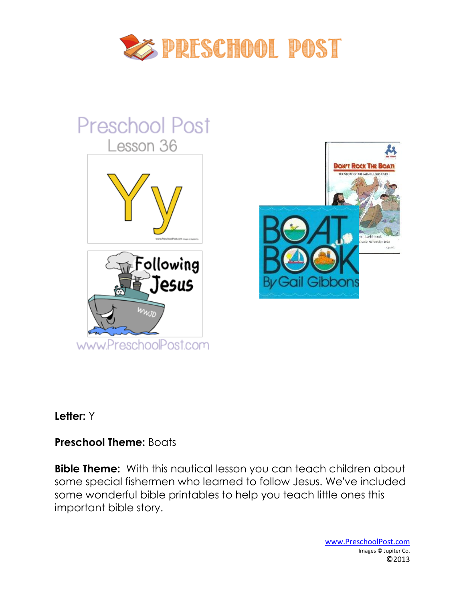

# **Preschool Post** Lesson 36 **DON'T ROCK THE BOA** Lashbrook Following Jesus Ball Gipp www.PreschoolPost.com

#### **Letter:** Y

## **Preschool Theme:** Boats

**Bible Theme:** With this nautical lesson you can teach children about some special fishermen who learned to follow Jesus. We've included some wonderful bible printables to help you teach little ones this important bible story.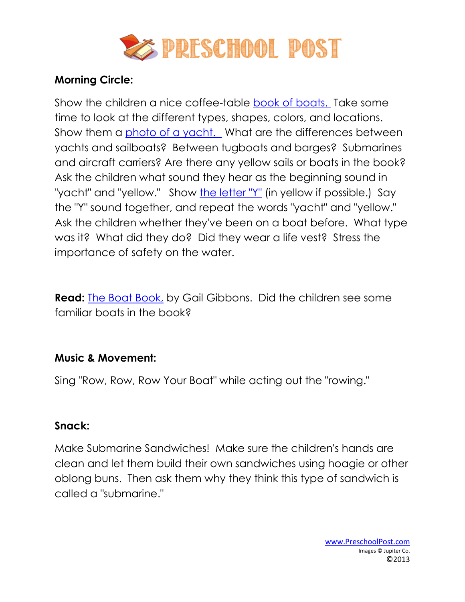

## **Morning Circle:**

Show the children a nice coffee-table [book of boats.](http://www.preschoolpost.com/JuneBoats.html) Take some time to look at the different types, shapes, colors, and locations. Show them a [photo of a yacht.](http://www.preschoolpost.com/JuneBoats.html) What are the differences between yachts and sailboats? Between tugboats and barges? Submarines and aircraft carriers? Are there any yellow sails or boats in the book? Ask the children what sound they hear as the beginning sound in "yacht" and "yellow." Show [the letter "Y"](http://www.preschoolpost.com/JuneBoats.html) (in yellow if possible.) Say the "Y" sound together, and repeat the words "yacht" and "yellow." Ask the children whether they've been on a boat before. What type was it? What did they do? Did they wear a life vest? Stress the importance of safety on the water.

**Read:** [The Boat Book,](http://www.amazon.com/dp/0823404781?tag=groovstory-20&camp=14573&creative=327641&linkCode=as1&creativeASIN=0823404781&adid=1N54TQ2AHWKAA9S6ZKWJ&ref-refURL=) by Gail Gibbons. Did the children see some familiar boats in the book?

## **Music & Movement:**

Sing "Row, Row, Row Your Boat" while acting out the "rowing."

## **Snack:**

Make Submarine Sandwiches! Make sure the children's hands are clean and let them build their own sandwiches using hoagie or other oblong buns. Then ask them why they think this type of sandwich is called a "submarine."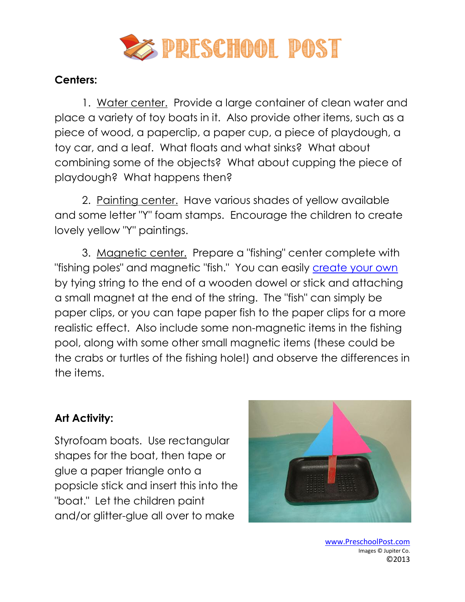

#### **Centers:**

1. Water center. Provide a large container of clean water and place a variety of toy boats in it. Also provide other items, such as a piece of wood, a paperclip, a paper cup, a piece of playdough, a toy car, and a leaf. What floats and what sinks? What about combining some of the objects? What about cupping the piece of playdough? What happens then?

2. Painting center. Have various shades of yellow available and some letter "Y" foam stamps. Encourage the children to create lovely yellow "Y" paintings.

3. Magnetic center. Prepare a "fishing" center complete with "fishing poles" and magnetic "fish." You can easily [create your own](http://www.preschoolpost.com/JuneBoats.html) by tying string to the end of a wooden dowel or stick and attaching a small magnet at the end of the string. The "fish" can simply be paper clips, or you can tape paper fish to the paper clips for a more realistic effect. Also include some non-magnetic items in the fishing pool, along with some other small magnetic items (these could be the crabs or turtles of the fishing hole!) and observe the differences in the items.

## **Art Activity:**

Styrofoam boats. Use rectangular shapes for the boat, then tape or glue a paper triangle onto a popsicle stick and insert this into the "boat." Let the children paint and/or glitter-glue all over to make



www.PreschoolPost.com Images © Jupiter Co. ©2013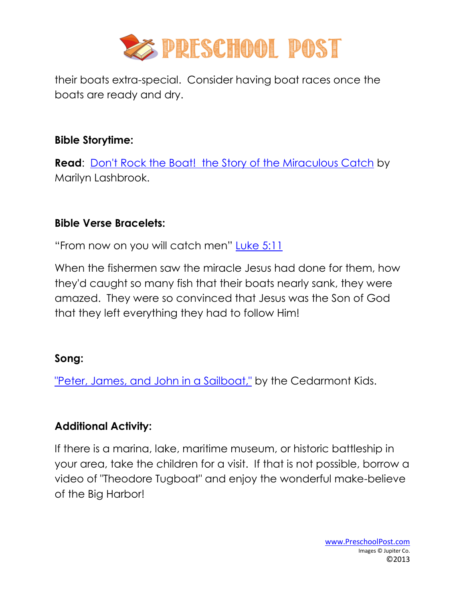

their boats extra-special. Consider having boat races once the boats are ready and dry.

#### **Bible Storytime:**

**Read:** [Don't Rock the Boat! the Story of the Miraculous Catch](http://www.christianbook.com/Christian/Books/product?event=AFF&p=1138537&item_no=47722) by Marilyn Lashbrook.

# **Bible Verse Bracelets:**

"From now on you will catch men" [Luke 5:11](http://www.preschoolpost.com/JuneBoats.html)

When the fishermen saw the miracle Jesus had done for them, how they'd caught so many fish that their boats nearly sank, they were amazed. They were so convinced that Jesus was the Son of God that they left everything they had to follow Him!

# **Song:**

["Peter, James, and John in a Sailboat,"](http://www.christianbook.com/Christian/Books/product?event=AFF&p=1138537&item_no=CD1646) by the Cedarmont Kids.

# **Additional Activity:**

If there is a marina, lake, maritime museum, or historic battleship in your area, take the children for a visit. If that is not possible, borrow a video of "Theodore Tugboat" and enjoy the wonderful make-believe of the Big Harbor!